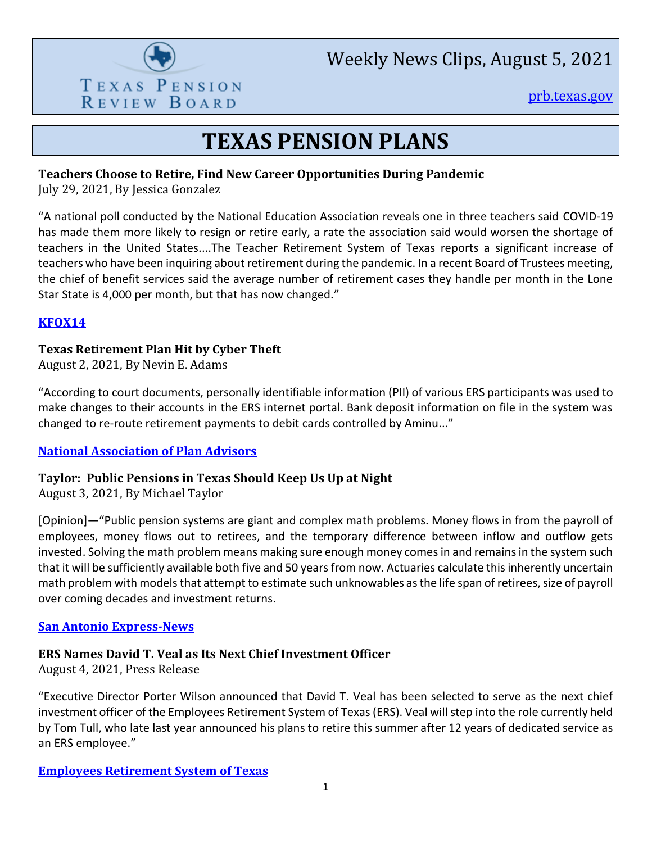

Weekly News Clips, August 5, 2021

[prb.texas.gov](http://www.prb.texas.gov/)

## **TEXAS PENSION PLANS**

#### **Teachers Choose to Retire, Find New Career Opportunities During Pandemic**

July 29, 2021, By Jessica Gonzalez

"A national poll conducted by the National Education Association reveals one in three teachers said COVID-19 has made them more likely to resign or retire early, a rate the association said would worsen the shortage of teachers in the United States....The Teacher Retirement System of Texas reports a significant increase of teachers who have been inquiring about retirement during the pandemic. In a recent Board of Trustees meeting, the chief of benefit services said the average number of retirement cases they handle per month in the Lone Star State is 4,000 per month, but that has now changed."

## **[KFOX14](https://kfoxtv.com/news/special-assignments/teachers-choose-to-retire-find-new-career-opportunities-during-pandemic)**

### **Texas Retirement Plan Hit by Cyber Theft**

August 2, 2021, By Nevin E. Adams

"According to court documents, personally identifiable information (PII) of various ERS participants was used to make changes to their accounts in the ERS internet portal. Bank deposit information on file in the system was changed to re-route retirement payments to debit cards controlled by Aminu..."

## **[National Association of Plan Advisors](https://www.napa-net.org/news-info/daily-news/texas-retirement-plan-hit-cyber-theft)**

## **Taylor: Public Pensions in Texas Should Keep Us Up at Night**

August 3, 2021, By Michael Taylor

[Opinion]—"Public pension systems are giant and complex math problems. Money flows in from the payroll of employees, money flows out to retirees, and the temporary difference between inflow and outflow gets invested. Solving the math problem means making sure enough money comes in and remains in the system such that it will be sufficiently available both five and 50 years from now. Actuaries calculate this inherently uncertain math problem with models that attempt to estimate such unknowables as the life span of retirees, size of payroll over coming decades and investment returns.

#### **[San Antonio Express-News](https://www.expressnews.com/business/business_columnists/michael_taylor/article/Taylor-Public-pensions-in-Texas-Smart-Money-16361624.php)**

#### **ERS Names David T. Veal as Its Next Chief Investment Officer**

August 4, 2021, Press Release

"Executive Director Porter Wilson announced that David T. Veal has been selected to serve as the next chief investment officer of the Employees Retirement System of Texas (ERS). Veal will step into the role currently held by Tom Tull, who late last year announced his plans to retire this summer after 12 years of dedicated service as an ERS employee."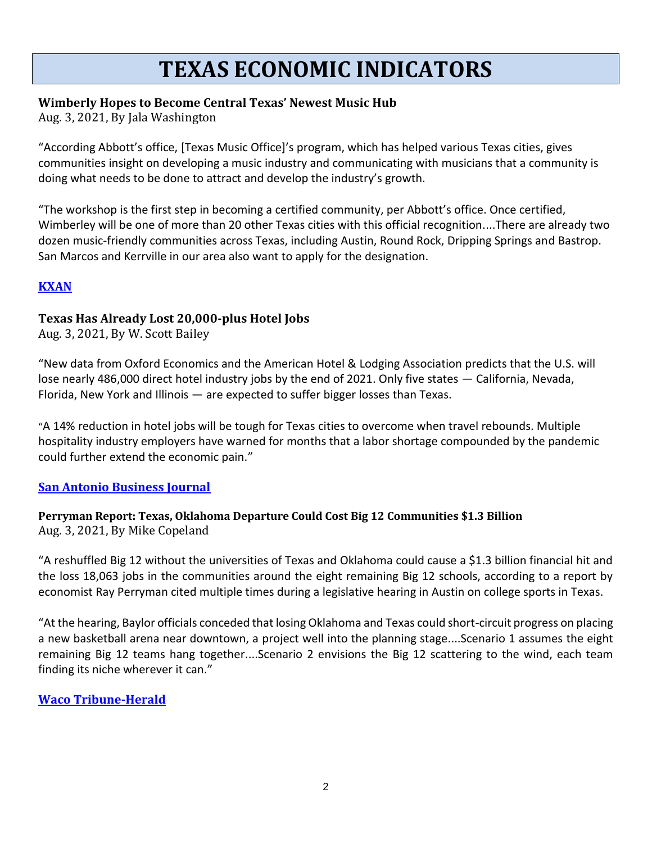## **TEXAS ECONOMIC INDICATORS**

### **Wimberly Hopes to Become Central Texas' Newest Music Hub**

Aug. 3, 2021, By Jala Washington

"According Abbott's office, [Texas Music Office]'s program, which has helped various Texas cities, gives communities insight on developing a music industry and communicating with musicians that a community is doing what needs to be done to attract and develop the industry's growth.

"The workshop is the first step in becoming a certified community, per Abbott's office. Once certified, Wimberley will be one of more than 20 other Texas cities with this official recognition....There are already two dozen music-friendly communities across Texas, including Austin, Round Rock, Dripping Springs and Bastrop. San Marcos and Kerrville in our area also want to apply for the designation.

## **[KXAN](https://www.kxan.com/news/local/hays/wimberley-hopes-to-become-central-texas-newest-music-hub/)**

### **Texas Has Already Lost 20,000-plus Hotel Jobs**

Aug. 3, 2021, By W. Scott Bailey

"New data from Oxford Economics and the American Hotel & Lodging Association predicts that the U.S. will lose nearly 486,000 direct hotel industry jobs by the end of 2021. Only five states — California, Nevada, Florida, New York and Illinois — are expected to suffer bigger losses than Texas.

"A 14% reduction in hotel jobs will be tough for Texas cities to overcome when travel rebounds. Multiple hospitality industry employers have warned for months that a labor shortage compounded by the pandemic could further extend the economic pain."

#### **[San Antonio Business Journal](https://www.bizjournals.com/sanantonio/news/2021/08/03/texas-has-already-lost-20-000-plus-hotel-jobs.html)**

#### **Perryman Report: Texas, Oklahoma Departure Could Cost Big 12 Communities \$1.3 Billion** Aug. 3, 2021, By Mike Copeland

"A reshuffled Big 12 without the universities of Texas and Oklahoma could cause a \$1.3 billion financial hit and the loss 18,063 jobs in the communities around the eight remaining Big 12 schools, according to a report by economist Ray Perryman cited multiple times during a legislative hearing in Austin on college sports in Texas.

"At the hearing, Baylor officials conceded that losing Oklahoma and Texas could short-circuit progress on placing a new basketball arena near downtown, a project well into the planning stage....Scenario 1 assumes the eight remaining Big 12 teams hang together....Scenario 2 envisions the Big 12 scattering to the wind, each team finding its niche wherever it can."

## **[Waco Tribune-Herald](https://wacotrib.com/business/local/perryman-report-texas-oklahoma-departure-could-cost-big-12-communities-1-3-billion/article_f2f77706-f4b0-11eb-ae7d-4b4aa3e15b80.html)**